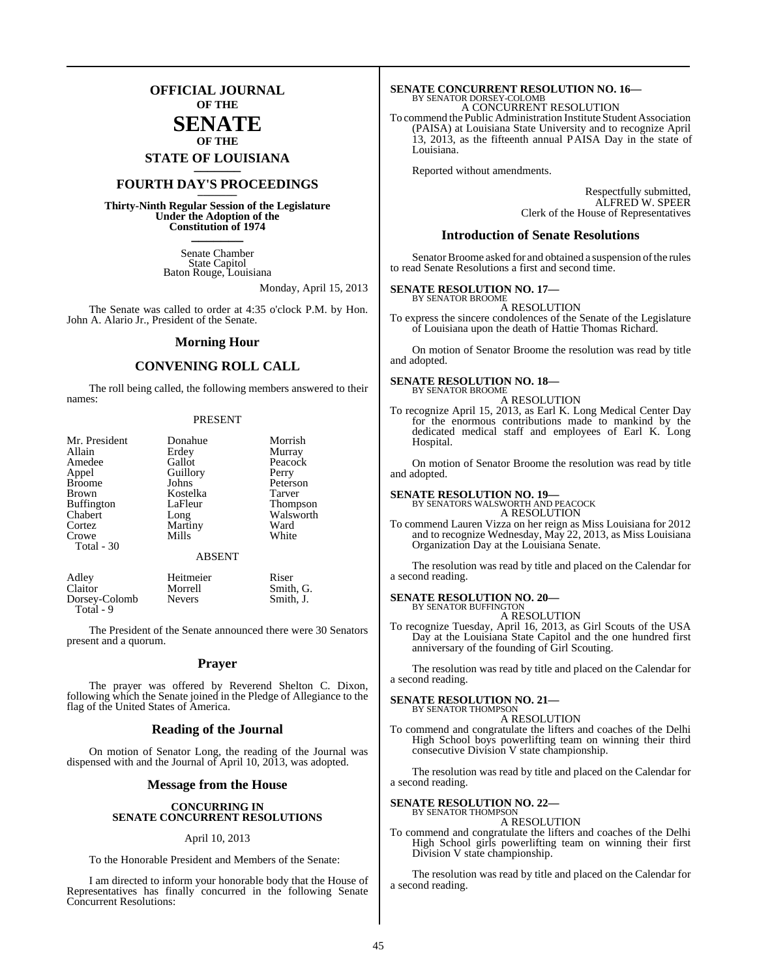**OFFICIAL JOURNAL OF THE**

### **SENATE OF THE**

**STATE OF LOUISIANA \_\_\_\_\_\_\_**

## **FOURTH DAY'S PROCEEDINGS \_\_\_\_\_\_\_**

**Thirty-Ninth Regular Session of the Legislature Under the Adoption of the Constitution of 1974 \_\_\_\_\_\_\_**

> Senate Chamber State Capitol Baton Rouge, Louisiana

> > Monday, April 15, 2013

The Senate was called to order at 4:35 o'clock P.M. by Hon. John A. Alario Jr., President of the Senate.

#### **Morning Hour**

#### **CONVENING ROLL CALL**

The roll being called, the following members answered to their names:

#### PRESENT

| Mr. President       | Donahue                | Morrish         |
|---------------------|------------------------|-----------------|
| Allain              | Erdey                  | Murray          |
| Amedee              | Gallot                 | Peacock         |
| Appel               | Guillory               | Perry           |
| <b>Broome</b>       | Johns                  | Peterson        |
| <b>Brown</b>        | Kostelka               | Tarver          |
| <b>Buffington</b>   | LaFleur                | <b>Thompson</b> |
| Chabert             | Long                   | Walsworth       |
| Cortez              | Martiny                | Ward            |
| Crowe<br>Total - 30 | Mills<br><b>ABSENT</b> | White           |
| Adley               | Heitmeier              | Riser           |
| Claitor             | Morrell                | Smith, G.       |
| Dorsey-Colomb       | <b>Nevers</b>          | Smith, J.       |

Dorsey-Colomb Total - 9

The President of the Senate announced there were 30 Senators present and a quorum.

#### **Prayer**

The prayer was offered by Reverend Shelton C. Dixon, following which the Senate joined in the Pledge of Allegiance to the flag of the United States of America.

#### **Reading of the Journal**

On motion of Senator Long, the reading of the Journal was dispensed with and the Journal of April 10, 2013, was adopted.

#### **Message from the House**

#### **CONCURRING IN SENATE CONCURRENT RESOLUTIONS**

#### April 10, 2013

To the Honorable President and Members of the Senate:

I am directed to inform your honorable body that the House of Representatives has finally concurred in the following Senate Concurrent Resolutions:

# **SENATE CONCURRENT RESOLUTION NO. 16—**<br>BY SENATOR DORSEY-COLOMB<br>A CONCURRENT RESOLUTION

To commend the Public Administration Institute Student Association (PAISA) at Louisiana State University and to recognize April 13, 2013, as the fifteenth annual PAISA Day in the state of Louisiana.

Reported without amendments.

Respectfully submitted, ALFRED W. SPEER Clerk of the House of Representatives

#### **Introduction of Senate Resolutions**

Senator Broome asked for and obtained a suspension of the rules to read Senate Resolutions a first and second time.

#### **SENATE RESOLUTION NO. 17—** BY SENATOR BROOME

A RESOLUTION

To express the sincere condolences of the Senate of the Legislature of Louisiana upon the death of Hattie Thomas Richard.

On motion of Senator Broome the resolution was read by title and adopted.

#### **SENATE RESOLUTION NO. 18—**

BY SENATOR BROOME A RESOLUTION

To recognize April 15, 2013, as Earl K. Long Medical Center Day for the enormous contributions made to mankind by the dedicated medical staff and employees of Earl K. Long Hospital.

On motion of Senator Broome the resolution was read by title and adopted.

#### **SENATE RESOLUTION NO. 19—** BY SENATORS WALSWORTH AND PEACOCK

A RESOLUTION

To commend Lauren Vizza on her reign as Miss Louisiana for 2012 and to recognize Wednesday, May 22, 2013, as Miss Louisiana Organization Day at the Louisiana Senate.

The resolution was read by title and placed on the Calendar for a second reading.

## **SENATE RESOLUTION NO. 20—** BY SENATOR BUFFINGTON

A RESOLUTION

To recognize Tuesday, April 16, 2013, as Girl Scouts of the USA Day at the Louisiana State Capitol and the one hundred first anniversary of the founding of Girl Scouting.

The resolution was read by title and placed on the Calendar for a second reading.

#### **SENATE RESOLUTION NO. 21—**

BY SENATOR THOMPSON A RESOLUTION

To commend and congratulate the lifters and coaches of the Delhi High School boys powerlifting team on winning their third consecutive Division V state championship.

The resolution was read by title and placed on the Calendar for a second reading.

#### **SENATE RESOLUTION NO. 22—** BY SENATOR THOMPSON

A RESOLUTION

To commend and congratulate the lifters and coaches of the Delhi High School girls powerlifting team on winning their first Division V state championship.

The resolution was read by title and placed on the Calendar for a second reading.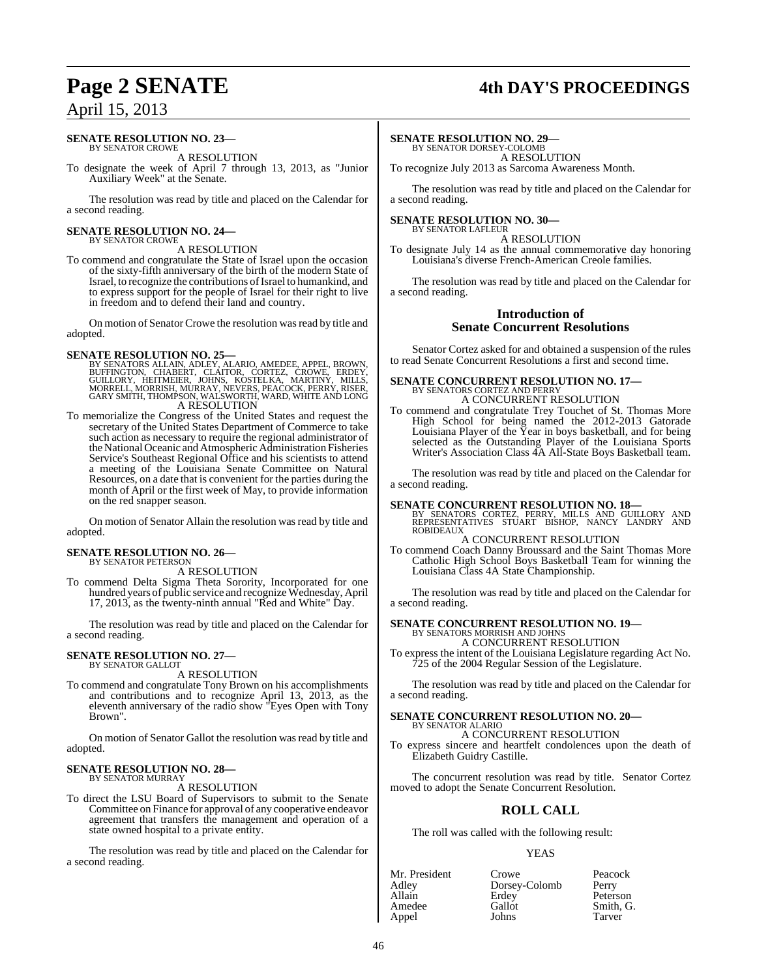## **Page 2 SENATE 4th DAY'S PROCEEDINGS**

# April 15, 2013

### **SENATE RESOLUTION NO. 23—**

BY SENATOR CROWE A RESOLUTION

To designate the week of April 7 through 13, 2013, as "Junior Auxiliary Week" at the Senate.

The resolution was read by title and placed on the Calendar for a second reading.

#### **SENATE RESOLUTION NO. 24—** BY SENATOR CROWE

#### A RESOLUTION

To commend and congratulate the State of Israel upon the occasion of the sixty-fifth anniversary of the birth of the modern State of Israel, to recognize the contributions ofIsrael to humankind, and to express support for the people of Israel for their right to live in freedom and to defend their land and country.

On motion of Senator Crowe the resolution was read by title and adopted.

- SENATE RESOLUTION NO. 25—<br>BY SENATORS ALLAINO, AMEDEE, APPEL, BROWN, BUFFINGTON, CHABERT, CLAITOR, CORTEZ, CROWE, ERDEY,<br>GUILLORY, HEITMEIER, JOHNS, KOSTELKA, MARTINY, MILLS,<br>MORRELL, MORRISH, MURRAY, NEVERS, PEACOCK, PERR A RESOLUTION
- To memorialize the Congress of the United States and request the secretary of the United States Department of Commerce to take such action as necessary to require the regional administrator of the National Oceanic and Atmospheric Administration Fisheries Service's Southeast Regional Office and his scientists to attend a meeting of the Louisiana Senate Committee on Natural Resources, on a date that is convenient for the parties during the month of April or the first week of May, to provide information on the red snapper season.

On motion of Senator Allain the resolution was read by title and adopted.

#### **SENATE RESOLUTION NO. 26—** BY SENATOR PETERSON

A RESOLUTION

To commend Delta Sigma Theta Sorority, Incorporated for one hundred years of public service and recognize Wednesday, April 17, 2013, as the twenty-ninth annual "Red and White" Day.

The resolution was read by title and placed on the Calendar for a second reading.

## **SENATE RESOLUTION NO. 27—** BY SENATOR GALLOT

#### A RESOLUTION

To commend and congratulate Tony Brown on his accomplishments and contributions and to recognize April 13, 2013, as the eleventh anniversary of the radio show "Eyes Open with Tony Brown".

On motion of Senator Gallot the resolution was read by title and adopted.

#### **SENATE RESOLUTION NO. 28—** BY SENATOR MURRAY

A RESOLUTION

To direct the LSU Board of Supervisors to submit to the Senate Committee on Finance for approval of any cooperative endeavor agreement that transfers the management and operation of a state owned hospital to a private entity.

The resolution was read by title and placed on the Calendar for a second reading.

#### **SENATE RESOLUTION NO. 29—**

BY SENATOR DORSEY-COLOMB A RESOLUTION

To recognize July 2013 as Sarcoma Awareness Month.

The resolution was read by title and placed on the Calendar for a second reading.

#### **SENATE RESOLUTION NO. 30—**

BY SENATOR LAFLEUR A RESOLUTION To designate July 14 as the annual commemorative day honoring Louisiana's diverse French-American Creole families.

The resolution was read by title and placed on the Calendar for a second reading.

#### **Introduction of Senate Concurrent Resolutions**

Senator Cortez asked for and obtained a suspension of the rules to read Senate Concurrent Resolutions a first and second time.

#### **SENATE CONCURRENT RESOLUTION NO. 17—** BY SENATORS CORTEZ AND PERRY A CONCURRENT RESOLUTION

To commend and congratulate Trey Touchet of St. Thomas More High School for being named the 2012-2013 Gatorade Louisiana Player of the Year in boys basketball, and for being selected as the Outstanding Player of the Louisiana Sports Writer's Association Class 4A All-State Boys Basketball team.

The resolution was read by title and placed on the Calendar for a second reading.

**SENATE CONCURRENT RESOLUTION NO. 18**<br>BY SENATORS CORTEZ, PERRY, MILLS AND GUILLORY AND<br>REPRESENTATIVES STUART BISHOP, NANCY LANDRY AND<br>ROBIDEAUX A CONCURRENT RESOLUTION

To commend Coach Danny Broussard and the Saint Thomas More

Catholic High School Boys Basketball Team for winning the Louisiana Class 4A State Championship.

The resolution was read by title and placed on the Calendar for a second reading.

## **SENATE CONCURRENT RESOLUTION NO. 19—** BY SENATORS MORRISH AND JOHNS

A CONCURRENT RESOLUTION To express the intent of the Louisiana Legislature regarding Act No. 725 of the 2004 Regular Session of the Legislature.

The resolution was read by title and placed on the Calendar for a second reading.

#### **SENATE CONCURRENT RESOLUTION NO. 20—** BY SENATOR ALARIO

#### A CONCURRENT RESOLUTION

To express sincere and heartfelt condolences upon the death of Elizabeth Guidry Castille.

The concurrent resolution was read by title. Senator Cortez moved to adopt the Senate Concurrent Resolution.

### **ROLL CALL**

The roll was called with the following result:

#### YEAS

| Crowe<br>Dorsey-Colomb<br>Erdey<br>Gallot | Peacock<br>Perry<br>Peterson<br>Smith, G. |
|-------------------------------------------|-------------------------------------------|
| Johns                                     | Tarver                                    |
|                                           |                                           |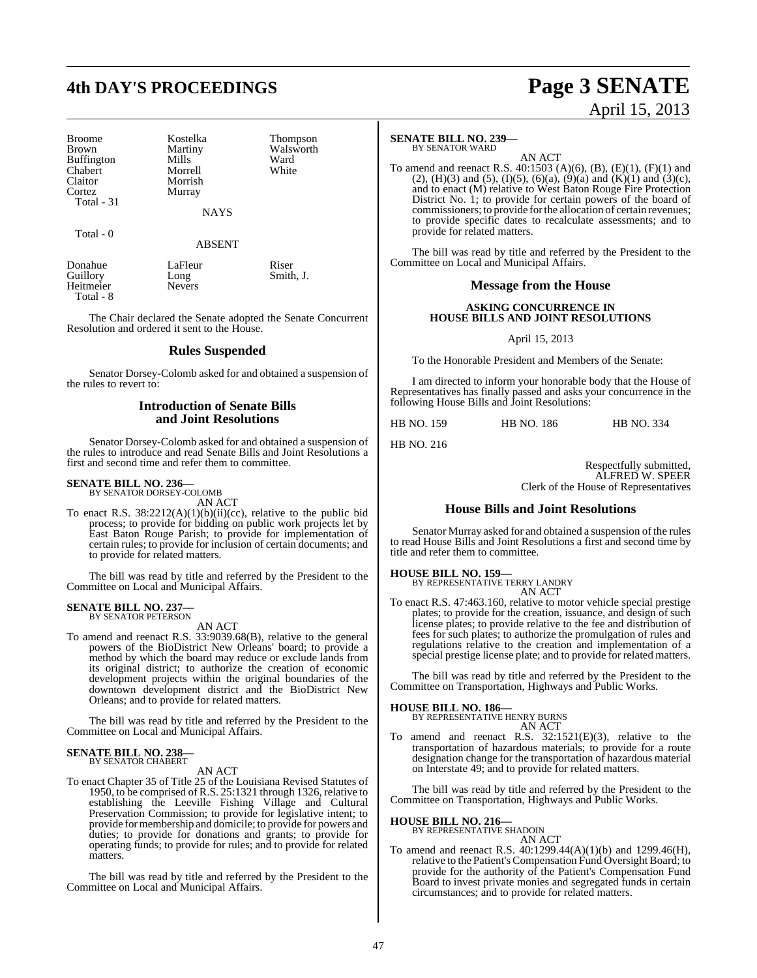# **4th DAY'S PROCEEDINGS Page 3 SENATE**

| <b>Broome</b>     | Kostelka | Thom  |
|-------------------|----------|-------|
| Brown             | Martiny  | Walsy |
| <b>Buffington</b> | Mills    | Ward  |
| <b>Chabert</b>    | Morrell  | White |
| Claitor           | Morrish  |       |
| Cortez            | Murray   |       |
| Total - 31        |          |       |

Total - 0

Kostelka Thompson<br>Martiny Walsworth Martiny Walsworth<br>
Mills Ward Morrell White Morrish Murray

#### ABSENT

**NAYS** 

| Donahue   | LaFleur       | Riser     |
|-----------|---------------|-----------|
| Guillory  | Long          | Smith, J. |
| Heitmeier | <b>Nevers</b> |           |
| Total - 8 |               |           |

The Chair declared the Senate adopted the Senate Concurrent Resolution and ordered it sent to the House.

#### **Rules Suspended**

Senator Dorsey-Colomb asked for and obtained a suspension of the rules to revert to:

#### **Introduction of Senate Bills and Joint Resolutions**

Senator Dorsey-Colomb asked for and obtained a suspension of the rules to introduce and read Senate Bills and Joint Resolutions a first and second time and refer them to committee.

## **SENATE BILL NO. 236—** BY SENATOR DORSEY-COLOMB

AN ACT

To enact R.S. 38:2212(A)(1)(b)(ii)(cc), relative to the public bid process; to provide for bidding on public work projects let by East Baton Rouge Parish; to provide for implementation of certain rules; to provide for inclusion of certain documents; and to provide for related matters.

The bill was read by title and referred by the President to the Committee on Local and Municipal Affairs.

## **SENATE BILL NO. 237—** BY SENATOR PETERSON

AN ACT

To amend and reenact R.S. 33:9039.68(B), relative to the general powers of the BioDistrict New Orleans' board; to provide a method by which the board may reduce or exclude lands from its original district; to authorize the creation of economic development projects within the original boundaries of the downtown development district and the BioDistrict New Orleans; and to provide for related matters.

The bill was read by title and referred by the President to the Committee on Local and Municipal Affairs.

#### **SENATE BILL NO. 238—** BY SENATOR CHABERT

AN ACT

To enact Chapter 35 of Title 25 of the Louisiana Revised Statutes of 1950, to be comprised of R.S. 25:1321 through 1326, relative to establishing the Leeville Fishing Village and Cultural Preservation Commission; to provide for legislative intent; to provide for membership and domicile; to provide for powers and duties; to provide for donations and grants; to provide for operating funds; to provide for rules; and to provide for related matters.

The bill was read by title and referred by the President to the Committee on Local and Municipal Affairs.

### **SENATE BILL NO. 239—**

BY SENATOR WARD

AN ACT To amend and reenact R.S. 40:1503 (A)(6), (B), (E)(1), (F)(1) and (2), (H)(3) and (5), (I)(5), (6)(a), (9)(a) and (K)(1) and (3)(c), and to enact (M) relative to West Baton Rouge Fire Protection District No. 1; to provide for certain powers of the board of commissioners; to provide forthe allocation of certain revenues; to provide specific dates to recalculate assessments; and to provide for related matters.

The bill was read by title and referred by the President to the Committee on Local and Municipal Affairs.

### **Message from the House**

#### **ASKING CONCURRENCE IN HOUSE BILLS AND JOINT RESOLUTIONS**

April 15, 2013

To the Honorable President and Members of the Senate:

I am directed to inform your honorable body that the House of Representatives has finally passed and asks your concurrence in the following House Bills and Joint Resolutions:

HB NO. 159 HB NO. 186 HB NO. 334

Respectfully submitted, ALFRED W. SPEER Clerk of the House of Representatives

#### **House Bills and Joint Resolutions**

Senator Murray asked for and obtained a suspension of the rules to read House Bills and Joint Resolutions a first and second time by title and refer them to committee.

#### **HOUSE BILL NO. 159—**

HB NO. 216

BY REPRESENTATIVE TERRY LANDRY AN ACT

To enact R.S. 47:463.160, relative to motor vehicle special prestige plates; to provide for the creation, issuance, and design of such license plates; to provide relative to the fee and distribution of fees for such plates; to authorize the promulgation of rules and regulations relative to the creation and implementation of a special prestige license plate; and to provide for related matters.

The bill was read by title and referred by the President to the Committee on Transportation, Highways and Public Works.

#### **HOUSE BILL NO. 186—**

BY REPRESENTATIVE HENRY BURNS AN ACT

To amend and reenact R.S. 32:1521(E)(3), relative to the transportation of hazardous materials; to provide for a route designation change for the transportation of hazardous material on Interstate 49; and to provide for related matters.

The bill was read by title and referred by the President to the Committee on Transportation, Highways and Public Works.

#### **HOUSE BILL NO. 216—**

BY REPRESENTATIVE SHADOIN

AN ACT

To amend and reenact R.S. 40:1299.44(A)(1)(b) and 1299.46(H), relative to the Patient's Compensation Fund Oversight Board; to provide for the authority of the Patient's Compensation Fund Board to invest private monies and segregated funds in certain circumstances; and to provide for related matters.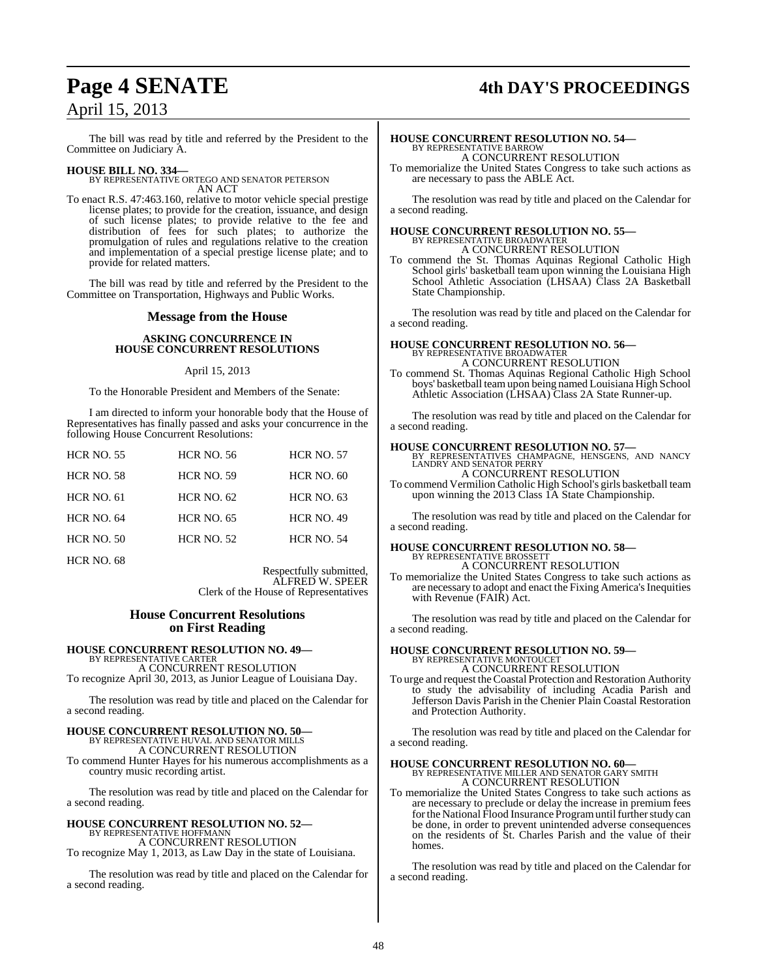# April 15, 2013

## **Page 4 SENATE 4th DAY'S PROCEEDINGS**

The bill was read by title and referred by the President to the Committee on Judiciary A.

**HOUSE BILL NO. 334—** BY REPRESENTATIVE ORTEGO AND SENATOR PETERSON AN ACT

To enact R.S. 47:463.160, relative to motor vehicle special prestige license plates; to provide for the creation, issuance, and design of such license plates; to provide relative to the fee and distribution of fees for such plates; to authorize the promulgation of rules and regulations relative to the creation and implementation of a special prestige license plate; and to provide for related matters.

The bill was read by title and referred by the President to the Committee on Transportation, Highways and Public Works.

#### **Message from the House**

#### **ASKING CONCURRENCE IN HOUSE CONCURRENT RESOLUTIONS**

#### April 15, 2013

To the Honorable President and Members of the Senate:

I am directed to inform your honorable body that the House of Representatives has finally passed and asks your concurrence in the following House Concurrent Resolutions:

| <b>HCR NO. 55</b> | <b>HCR NO. 56</b> | <b>HCR NO. 57</b> |
|-------------------|-------------------|-------------------|
| <b>HCR NO. 58</b> | <b>HCR NO. 59</b> | HCR NO. 60        |
| <b>HCR NO. 61</b> | <b>HCR NO. 62</b> | <b>HCR NO. 63</b> |
| <b>HCR NO. 64</b> | <b>HCR NO. 65</b> | <b>HCR NO. 49</b> |
| <b>HCR NO. 50</b> | <b>HCR NO. 52</b> | <b>HCR NO. 54</b> |
| <b>HCR NO. 68</b> |                   |                   |

Respectfully submitted, ALFRED W. SPEER Clerk of the House of Representatives

#### **House Concurrent Resolutions on First Reading**

**HOUSE CONCURRENT RESOLUTION NO. 49—** BY REPRESENTATIVE CARTER A CONCURRENT RESOLUTION

To recognize April 30, 2013, as Junior League of Louisiana Day.

The resolution was read by title and placed on the Calendar for a second reading.

## **HOUSE CONCURRENT RESOLUTION NO. 50—** BY REPRESENTATIVE HUVAL AND SENATOR MILLS A CONCURRENT RESOLUTION

To commend Hunter Hayes for his numerous accomplishments as a country music recording artist.

The resolution was read by title and placed on the Calendar for a second reading.

#### **HOUSE CONCURRENT RESOLUTION NO. 52—** BY REPRESENTATIVE HOFFMANN

A CONCURRENT RESOLUTION To recognize May 1, 2013, as Law Day in the state of Louisiana.

The resolution was read by title and placed on the Calendar for a second reading.

## **HOUSE CONCURRENT RESOLUTION NO. 54—** BY REPRESENTATIVE BARROW A CONCURRENT RESOLUTION

To memorialize the United States Congress to take such actions as are necessary to pass the ABLE Act.

The resolution was read by title and placed on the Calendar for a second reading.

## **HOUSE CONCURRENT RESOLUTION NO. 55—** BY REPRESENTATIVE BROADWATER A CONCURRENT RESOLUTION

To commend the St. Thomas Aquinas Regional Catholic High School girls' basketball team upon winning the Louisiana High School Athletic Association (LHSAA) Class 2A Basketball State Championship.

The resolution was read by title and placed on the Calendar for a second reading.

# **HOUSE CONCURRENT RESOLUTION NO. 56—** BY REPRESENTATIVE BROADWATER A CONCURRENT RESOLUTION

To commend St. Thomas Aquinas Regional Catholic High School boys' basketball teamupon being named Louisiana High School Athletic Association (LHSAA) Class 2A State Runner-up.

The resolution was read by title and placed on the Calendar for a second reading.

## **HOUSE CONCURRENT RESOLUTION NO. 57—** BY REPRESENTATIVES CHAMPAGNE, HENSGENS, AND NANCY LANDRY AND SENATOR PERRY A CONCURRENT RESOLUTION

To commend Vermilion Catholic High School's girls basketball team upon winning the 2013 Class 1A State Championship.

The resolution was read by title and placed on the Calendar for a second reading.

# **HOUSE CONCURRENT RESOLUTION NO. 58—** BY REPRESENTATIVE BROSSETT

A CONCURRENT RESOLUTION

To memorialize the United States Congress to take such actions as are necessary to adopt and enact the Fixing America's Inequities with Revenue (FAIR) Act.

The resolution was read by title and placed on the Calendar for a second reading.

**HOUSE CONCURRENT RESOLUTION NO. 59—** BY REPRESENTATIVE MONTOUCET A CONCURRENT RESOLUTION

To urge and request the Coastal Protection and Restoration Authority to study the advisability of including Acadia Parish and Jefferson Davis Parish in the Chenier Plain Coastal Restoration and Protection Authority.

The resolution was read by title and placed on the Calendar for a second reading.

## **HOUSE CONCURRENT RESOLUTION NO. 60—** BY REPRESENTATIVE MILLER AND SENATOR GARY SMITH

A CONCURRENT RESOLUTION

To memorialize the United States Congress to take such actions as are necessary to preclude or delay the increase in premium fees for the National Flood Insurance Program until further study can be done, in order to prevent unintended adverse consequences on the residents of St. Charles Parish and the value of their homes.

The resolution was read by title and placed on the Calendar for a second reading.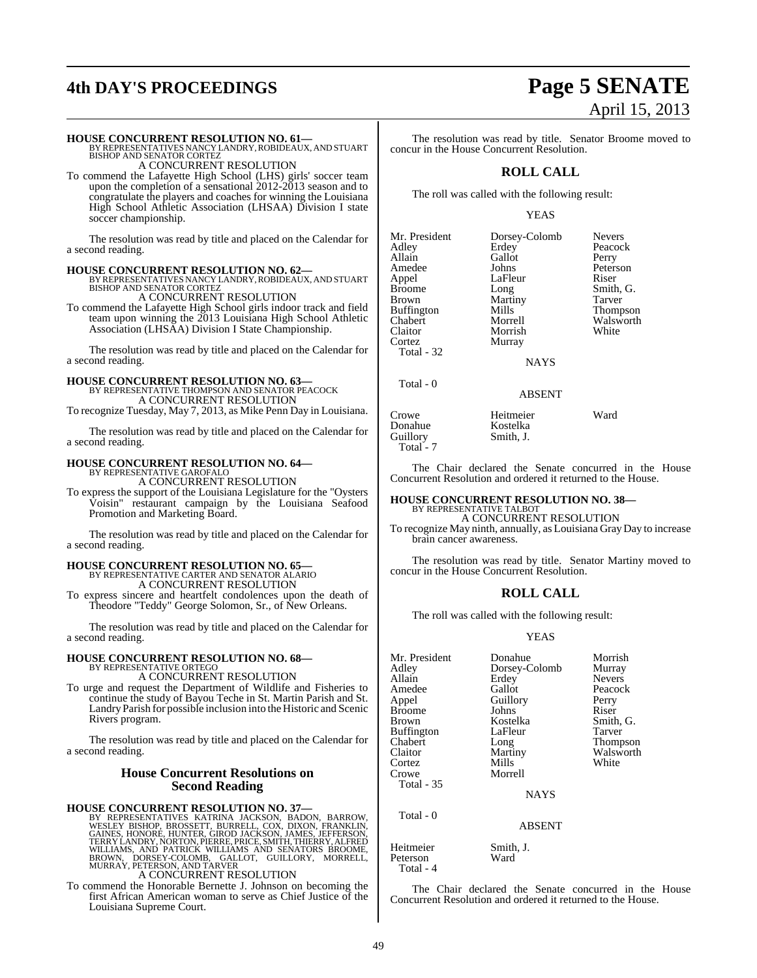# **4th DAY'S PROCEEDINGS Page 5 SENATE**

#### **HOUSE CONCURRENT RESOLUTION NO. 61—**

BY REPRESENTATIVES NANCY LANDRY, ROBIDEAUX, AND STUART<br>BISHOP AND SENATOR CORTEZ A CONCURRENT RESOLUTION

To commend the Lafayette High School (LHS) girls' soccer team upon the completion of a sensational 2012-2013 season and to congratulate the players and coaches for winning the Louisiana High School Athletic Association (LHSAA) Division I state soccer championship.

The resolution was read by title and placed on the Calendar for a second reading.

**HOUSE CONCURRENT RESOLUTION NO. 62—** BY REPRESENTATIVES NANCY LANDRY,ROBIDEAUX, AND STUART BISHOP AND SENATOR CORTEZ A CONCURRENT RESOLUTION

To commend the Lafayette High School girls indoor track and field team upon winning the 2013 Louisiana High School Athletic Association (LHSAA) Division I State Championship.

The resolution was read by title and placed on the Calendar for a second reading.

## **HOUSE CONCURRENT RESOLUTION NO. 63—** BY REPRESENTATIVE THOMPSON AND SENATOR PEACOCK

A CONCURRENT RESOLUTION

To recognize Tuesday, May 7, 2013, as Mike Penn Day in Louisiana.

The resolution was read by title and placed on the Calendar for a second reading.

## **HOUSE CONCURRENT RESOLUTION NO. 64—** BY REPRESENTATIVE GAROFALO

A CONCURRENT RESOLUTION

To express the support of the Louisiana Legislature for the "Oysters Voisin" restaurant campaign by the Louisiana Seafood Promotion and Marketing Board.

The resolution was read by title and placed on the Calendar for a second reading.

## **HOUSE CONCURRENT RESOLUTION NO. 65—** BY REPRESENTATIVE CARTER AND SENATOR ALARIO A CONCURRENT RESOLUTION

To express sincere and heartfelt condolences upon the death of Theodore "Teddy" George Solomon, Sr., of New Orleans.

The resolution was read by title and placed on the Calendar for a second reading.

#### **HOUSE CONCURRENT RESOLUTION NO. 68—** BY REPRESENTATIVE ORTEGO A CONCURRENT RESOLUTION

To urge and request the Department of Wildlife and Fisheries to continue the study of Bayou Teche in St. Martin Parish and St. Landry Parish for possible inclusion into the Historic and Scenic Rivers program.

The resolution was read by title and placed on the Calendar for a second reading.

#### **House Concurrent Resolutions on Second Reading**

## **HOUSE CONCURRENT RESOLUTION NO. 37—**

BY REPRESENTATIVES KATRINA JACKSON, BADON, BARROW, WESLEY BISHOP, BROSSETT, BURRELL, COX, DIXON, FRANKLIN, GAINES, HONORE, HUNTER, GIROD JACKSON, JAMES, JEFFERSON, TERRY LANDRY, NORTON, PERRE, PRICE, SMITH, THIERRY, ALFRED

To commend the Honorable Bernette J. Johnson on becoming the first African American woman to serve as Chief Justice of the Louisiana Supreme Court.

# April 15, 2013

The resolution was read by title. Senator Broome moved to concur in the House Concurrent Resolution.

#### **ROLL CALL**

The roll was called with the following result:

#### YEAS

| Mr. President     | Dorsey-Colomb | <b>Nevers</b> |
|-------------------|---------------|---------------|
| Adley             | Erdey         | Peacock       |
| Allain            | Gallot        | Perry         |
| Amedee            | Johns         | Peterson      |
| Appel             | LaFleur       | Riser         |
| <b>Broome</b>     | Long          | Smith, G.     |
| <b>Brown</b>      | Martiny       | Tarver        |
| <b>Buffington</b> | Mills         | Thompson      |
| Chabert           | Morrell       | Walsworth     |
| Claitor           | Morrish       | White         |
| Cortez            | Murray        |               |
| Total - 32        |               |               |
|                   |               |               |

NAYS

#### ABSENT

Crowe Heitmeier Ward Donahue<br>Guillory Total - 7

Total - 0

The Chair declared the Senate concurred in the House Concurrent Resolution and ordered it returned to the House.

## **HOUSE CONCURRENT RESOLUTION NO. 38—** BY REPRESENTATIVE TALBOT

Smith, J.

A CONCURRENT RESOLUTION

To recognize May ninth, annually, as Louisiana Gray Day to increase brain cancer awareness.

The resolution was read by title. Senator Martiny moved to concur in the House Concurrent Resolution.

#### **ROLL CALL**

The roll was called with the following result:

#### YEAS

| Mr. President<br>Adley<br>Allain<br>Amedee<br>Appel<br><b>Broome</b><br>Brown | Donahue<br>Dorsey-Colomb<br>Erdey<br>Gallot<br>Guillory<br>Johns<br>Kostelka | Morrish<br>Murray<br><b>Nevers</b><br>Peacock<br>Perry<br>Riser<br>Smith, G. |
|-------------------------------------------------------------------------------|------------------------------------------------------------------------------|------------------------------------------------------------------------------|
| Buffington<br>Chabert<br>Claitor<br>Cortez<br>Crowe<br><b>Total - 35</b>      | LaFleur<br>Long<br>Martiny<br>Mills<br>Morrell<br><b>NAYS</b>                | Tarver<br>Thompson<br>Walsworth<br>White                                     |
| Total - 0                                                                     | <b>ABSENT</b>                                                                |                                                                              |
| Heitmeier<br>Peterson                                                         | Smith, J.<br>Ward                                                            |                                                                              |

Total - 4

The Chair declared the Senate concurred in the House Concurrent Resolution and ordered it returned to the House.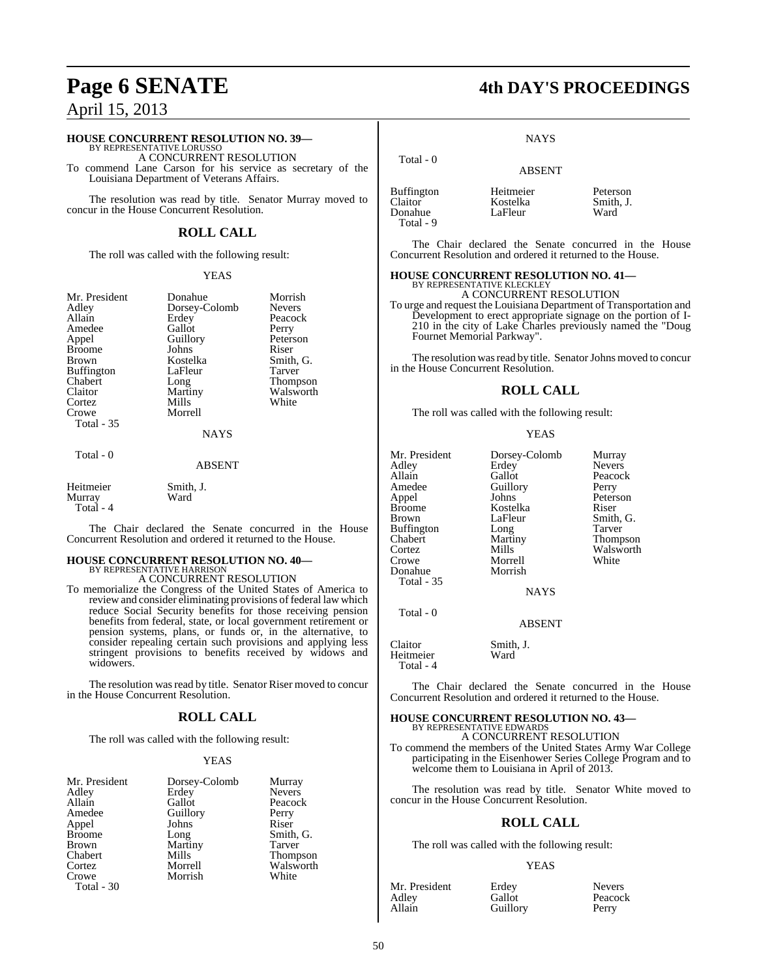## April 15, 2013

## **HOUSE CONCURRENT RESOLUTION NO. 39—** BY REPRESENTATIVE LORUSSO

A CONCURRENT RESOLUTION

To commend Lane Carson for his service as secretary of the Louisiana Department of Veterans Affairs.

The resolution was read by title. Senator Murray moved to concur in the House Concurrent Resolution.

#### **ROLL CALL**

The roll was called with the following result:

#### YEAS

| Mr. President<br>Adley<br>Allain<br>Amedee<br>Appel<br><b>Broome</b><br>Brown<br>Buffington<br>Chabert<br>Claitor<br>Cortez<br>Crowe<br>Total - 35 | Donahue<br>Dorsey-Colomb<br>Erdey<br>Gallot<br>Guillory<br>Johns<br>Kostelka<br>LaFleur<br>Long<br>Martiny<br>Mills<br>Morrell | Morrish<br><b>Nevers</b><br>Peacock<br>Perry<br>Peterson<br>Riser<br>Smith, G.<br>Tarver<br>Thompson<br>Walsworth<br>White |
|----------------------------------------------------------------------------------------------------------------------------------------------------|--------------------------------------------------------------------------------------------------------------------------------|----------------------------------------------------------------------------------------------------------------------------|
|                                                                                                                                                    | <b>NAYS</b>                                                                                                                    |                                                                                                                            |
| Total - 0                                                                                                                                          |                                                                                                                                |                                                                                                                            |

#### ABSENT

Heitmeier Smith, J.<br>Murray Ward Murray Total - 4

The Chair declared the Senate concurred in the House Concurrent Resolution and ordered it returned to the House.

## **HOUSE CONCURRENT RESOLUTION NO. 40—** BY REPRESENTATIVE HARRISON A CONCURRENT RESOLUTION

To memorialize the Congress of the United States of America to review and consider eliminating provisions of federal law which reduce Social Security benefits for those receiving pension benefits from federal, state, or local government retirement or pension systems, plans, or funds or, in the alternative, to consider repealing certain such provisions and applying less stringent provisions to benefits received by widows and widowers.

The resolution was read by title. Senator Riser moved to concur in the House Concurrent Resolution.

#### **ROLL CALL**

The roll was called with the following result:

#### YEAS

| Mr. President | Dorsey-Colomb | Murray        |
|---------------|---------------|---------------|
| Adley         | Erdey         | <b>Nevers</b> |
| Allain        | Gallot        | Peacock       |
| Amedee        | Guillory      | Perry         |
| Appel         | Johns         | Riser         |
| <b>Broome</b> | Long          | Smith, G.     |
| <b>Brown</b>  | Martiny       | Tarver        |
| Chabert       | Mills         | Thompson      |
| Cortez        | Morrell       | Walsworth     |
| Crowe         | Morrish       | White         |
| Total - 30    |               |               |

## **Page 6 SENATE 4th DAY'S PROCEEDINGS**

**NAYS** 

| <b>ABSENT</b>                    |                               |
|----------------------------------|-------------------------------|
| Heitmeier<br>Kostelka<br>LaFleur | Peterson<br>Smith, J.<br>Ward |
|                                  |                               |

Total - 0

The Chair declared the Senate concurred in the House Concurrent Resolution and ordered it returned to the House.

#### **HOUSE CONCURRENT RESOLUTION NO. 41—**

BY REPRESENTATIVE KLECKLEY A CONCURRENT RESOLUTION

To urge and request the Louisiana Department of Transportation and Development to erect appropriate signage on the portion of I-210 in the city of Lake Charles previously named the "Doug Fournet Memorial Parkway".

The resolution was read by title. Senator Johns moved to concur in the House Concurrent Resolution.

#### **ROLL CALL**

The roll was called with the following result:

#### YEAS

| Mr. President<br>Adley<br>Allain<br>Amedee<br>Appel<br><b>Broome</b><br><b>Brown</b><br><b>Buffington</b><br>Chabert<br>Cortez | Dorsey-Colomb<br>Erdey<br>Gallot<br>Guillory<br>Johns<br>Kostelka<br>LaFleur<br>Long<br>Martiny<br>Mills | Murray<br><b>Nevers</b><br>Peacock<br>Perry<br>Peterson<br>Riser<br>Smith, G.<br>Tarver<br>Thompson<br>Walsworth |
|--------------------------------------------------------------------------------------------------------------------------------|----------------------------------------------------------------------------------------------------------|------------------------------------------------------------------------------------------------------------------|
| Crowe                                                                                                                          | Morrell                                                                                                  | White                                                                                                            |
| Donahue<br><b>Total - 35</b>                                                                                                   | Morrish                                                                                                  |                                                                                                                  |
|                                                                                                                                | <b>NAYS</b>                                                                                              |                                                                                                                  |
| Total - 0                                                                                                                      | <b>ABSENT</b>                                                                                            |                                                                                                                  |

Claitor Smith, J. Heitmeier Total - 4

The Chair declared the Senate concurred in the House Concurrent Resolution and ordered it returned to the House.

## **HOUSE CONCURRENT RESOLUTION NO. 43—** BY REPRESENTATIVE EDWARDS

A CONCURRENT RESOLUTION

To commend the members of the United States Army War College participating in the Eisenhower Series College Program and to welcome them to Louisiana in April of 2013.

The resolution was read by title. Senator White moved to concur in the House Concurrent Resolution.

#### **ROLL CALL**

The roll was called with the following result:

#### YEAS

| Mr. President | Erdey    | <b>Nevers</b> |
|---------------|----------|---------------|
| Adley         | Gallot   | Peacock       |
| Allain        | Guillory | Perry         |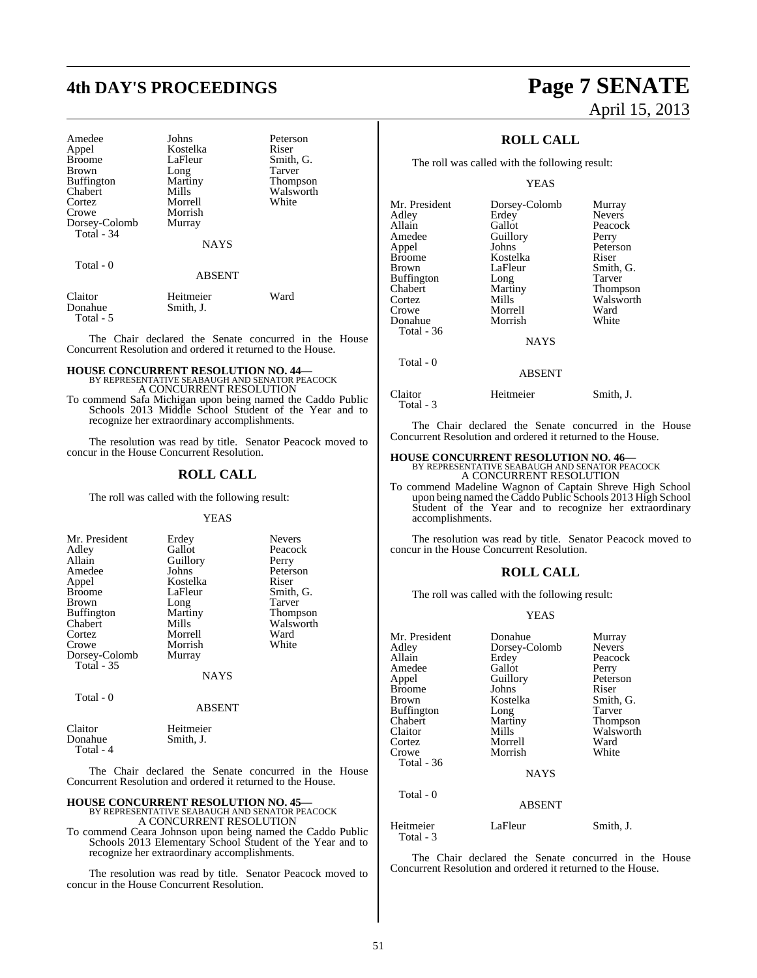| Amedee<br>Appel<br><b>Broome</b><br><b>Brown</b><br><b>Buffington</b><br>Chabert<br>Cortez | Johns<br>Kostelka<br>LaFleur<br>Long<br>Martiny<br>Mills<br>Morrell | Peterson<br>Riser<br>Smith, G.<br>Tarver<br><b>Thompson</b><br>Walsworth<br>White |
|--------------------------------------------------------------------------------------------|---------------------------------------------------------------------|-----------------------------------------------------------------------------------|
| Crowe                                                                                      | Morrish                                                             |                                                                                   |
| Dorsey-Colomb<br>Total - 34                                                                | Murray                                                              |                                                                                   |
|                                                                                            | <b>NAYS</b>                                                         |                                                                                   |
| Total $-0$                                                                                 | <b>ABSENT</b>                                                       |                                                                                   |
| Claitor<br>Donahue                                                                         | Heitmeier<br>Smith, J.                                              | Ward                                                                              |

Total - 5

The Chair declared the Senate concurred in the House Concurrent Resolution and ordered it returned to the House.

# **HOUSE CONCURRENT RESOLUTION NO. 44—** BY REPRESENTATIVE SEABAUGH AND SENATOR PEACOCK A CONCURRENT RESOLUTION

To commend Safa Michigan upon being named the Caddo Public Schools 2013 Middle School Student of the Year and to recognize her extraordinary accomplishments.

The resolution was read by title. Senator Peacock moved to concur in the House Concurrent Resolution.

### **ROLL CALL**

The roll was called with the following result:

#### YEAS

| Mr. President     | Erdey         | <b>Nevers</b>   |
|-------------------|---------------|-----------------|
| Adley             | Gallot        | Peacock         |
| Allain            | Guillory      | Perry           |
| Amedee            | Johns         | Peterson        |
| Appel             | Kostelka      | Riser           |
| <b>Broome</b>     | LaFleur       | Smith, G.       |
| <b>Brown</b>      | Long          | Tarver          |
| <b>Buffington</b> | Martiny       | <b>Thompson</b> |
| Chabert           | Mills         | Walsworth       |
| Cortez            | Morrell       | Ward            |
| Crowe             | Morrish       | White           |
| Dorsey-Colomb     | Murray        |                 |
| <b>Total - 35</b> |               |                 |
|                   | <b>NAYS</b>   |                 |
| Total - 0         |               |                 |
|                   | <b>ABSENT</b> |                 |

| Claitor   | Heitmeier |  |
|-----------|-----------|--|
| Donahue   | Smith, J. |  |
| Total - 4 |           |  |

The Chair declared the Senate concurred in the House Concurrent Resolution and ordered it returned to the House.

## **HOUSE CONCURRENT RESOLUTION NO. 45—** BY REPRESENTATIVE SEABAUGH AND SENATOR PEACOCK

A CONCURRENT RESOLUTION

To commend Ceara Johnson upon being named the Caddo Public Schools 2013 Elementary School Student of the Year and to recognize her extraordinary accomplishments.

The resolution was read by title. Senator Peacock moved to concur in the House Concurrent Resolution.

## **4th DAY'S PROCEEDINGS Page 7 SENATE** April 15, 2013

### **ROLL CALL**

The roll was called with the following result:

#### YEAS

| Mr. President | Dorsey-Colomb | Murray        |
|---------------|---------------|---------------|
| Adlev         | Erdey         | <b>Nevers</b> |
| Allain        | Gallot        | Peacock       |
| Amedee        | Guillory      | Perry         |
| Appel         | Johns         | Peterson      |
| Broome        | Kostelka      | Riser         |
| Brown         | LaFleur       | Smith, G.     |
| Buffington    | Long          | Tarver        |
| Chabert       | Martiny       | Thompson      |
| Cortez        | Mills         | Walsworth     |
| Crowe         | Morrell       | Ward          |
| Donahue       | Morrish       | White         |
| Total - 36    |               |               |
|               | <b>NAYS</b>   |               |
| Total - 0     | <b>ABSENT</b> |               |
|               |               |               |
|               |               |               |

Claitor Heitmeier Smith, J. Total - 3

The Chair declared the Senate concurred in the House Concurrent Resolution and ordered it returned to the House.

## **HOUSE CONCURRENT RESOLUTION NO. 46—** BY REPRESENTATIVE SEABAUGH AND SENATOR PEACOCK

A CONCURRENT RESOLUTION

To commend Madeline Wagnon of Captain Shreve High School upon being named the Caddo Public Schools 2013 High School Student of the Year and to recognize her extraordinary accomplishments.

The resolution was read by title. Senator Peacock moved to concur in the House Concurrent Resolution.

### **ROLL CALL**

The roll was called with the following result:

#### YEAS

| Mr. President          | Donahue       | Murray        |
|------------------------|---------------|---------------|
| Adlev                  | Dorsey-Colomb | <b>Nevers</b> |
| Allain                 | Erdey         | Peacock       |
| Amedee                 | Gallot        | Perry         |
| Appel                  | Guillory      | Peterson      |
| Broome                 | Johns         | Riser         |
| Brown                  | Kostelka      | Smith, G.     |
| Buffington             | Long          | Tarver        |
| Chabert                | Martiny       | Thompson      |
| Claitor                | Mills         | Walsworth     |
| Cortez                 | Morrell       | Ward          |
| Crowe                  | Morrish       | White         |
| Total - 36             |               |               |
|                        | <b>NAYS</b>   |               |
| Total $-0$             |               |               |
|                        | <b>ABSENT</b> |               |
| Heitmeier<br>Total - 3 | LaFleur       | Smith, J.     |

The Chair declared the Senate concurred in the House Concurrent Resolution and ordered it returned to the House.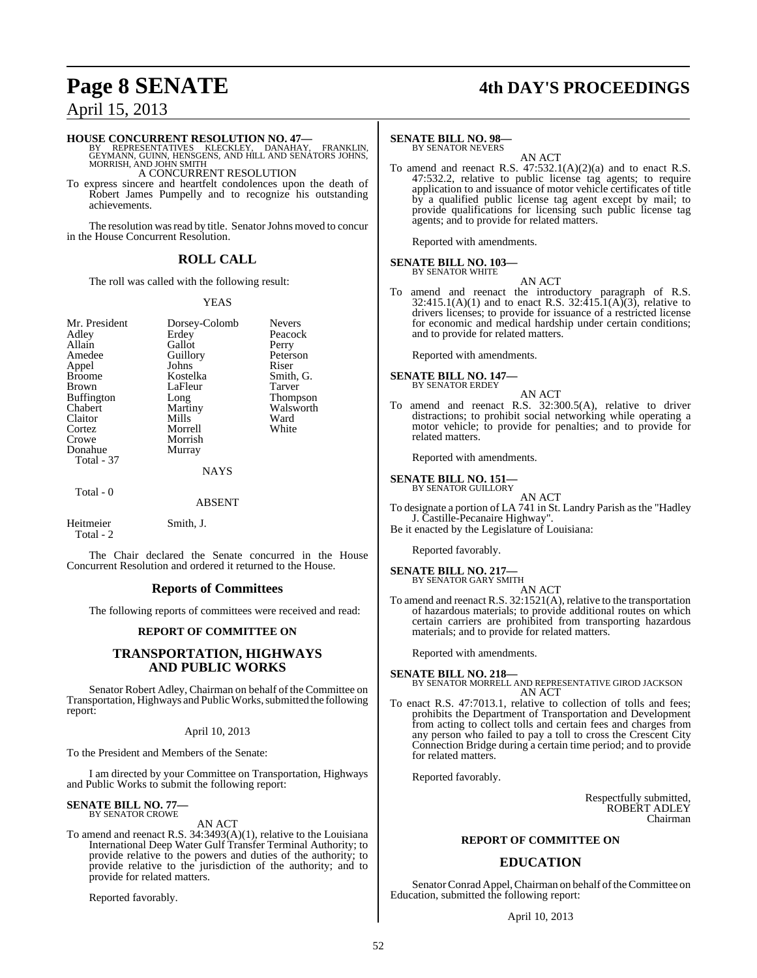## **Page 8 SENATE 4th DAY'S PROCEEDINGS**

## April 15, 2013

**HOUSE CONCURRENT RESOLUTION NO. 47—**<br>BY REPRESENTATIVES KLECKLEY, DANAHAY, FRANKLIN,<br>GEYMANN, GUINN, HENSGENS, AND HILL AND SENATORS JOHNS,<br>MORRISH, AND JOHN SMITH

A CONCURRENT RESOLUTION

To express sincere and heartfelt condolences upon the death of Robert James Pumpelly and to recognize his outstanding achievements.

The resolution was read by title. Senator Johns moved to concur in the House Concurrent Resolution.

#### **ROLL CALL**

The roll was called with the following result:

#### YEAS

| Mr. President     | Dorsey-Colomb | <b>Nevers</b>   |
|-------------------|---------------|-----------------|
| Adley             | Erdey         | Peacock         |
| Allain            | Gallot        | Perry           |
| Amedee            | Guillory      | Peterson        |
| Appel             | Johns         | Riser           |
| <b>Broome</b>     | Kostelka      | Smith, G.       |
| <b>Brown</b>      | LaFleur       | Tarver          |
| <b>Buffington</b> | Long          | <b>Thompson</b> |
| Chabert           | Martiny       | Walsworth       |
| Claitor           | Mills         | Ward            |
| Cortez            | Morrell       | White           |
| Crowe             | Morrish       |                 |
| Donahue           | Murray        |                 |
| Total - 37        |               |                 |
|                   | <b>NAYS</b>   |                 |
| Total - 0         |               |                 |
|                   | <b>ABSENT</b> |                 |
|                   |               |                 |

Heitmeier Smith, J. Total - 2

The Chair declared the Senate concurred in the House Concurrent Resolution and ordered it returned to the House.

#### **Reports of Committees**

The following reports of committees were received and read:

#### **REPORT OF COMMITTEE ON**

#### **TRANSPORTATION, HIGHWAYS AND PUBLIC WORKS**

Senator Robert Adley, Chairman on behalf of the Committee on Transportation, Highways and Public Works, submitted the following report:

#### April 10, 2013

To the President and Members of the Senate:

I am directed by your Committee on Transportation, Highways and Public Works to submit the following report:

#### **SENATE BILL NO. 77—** BY SENATOR CROWE

AN ACT

To amend and reenact R.S. 34:3493(A)(1), relative to the Louisiana International Deep Water Gulf Transfer Terminal Authority; to provide relative to the powers and duties of the authority; to provide relative to the jurisdiction of the authority; and to provide for related matters.

Reported favorably.

#### **SENATE BILL NO. 98—**

BY SENATOR NEVERS

AN ACT To amend and reenact R.S.  $47:532.1(A)(2)(a)$  and to enact R.S. 47:532.2, relative to public license tag agents; to require application to and issuance of motor vehicle certificates of title by a qualified public license tag agent except by mail; to provide qualifications for licensing such public license tag agents; and to provide for related matters.

Reported with amendments.

#### **SENATE BILL NO. 103—**

BY SENATOR WHITE

AN ACT

To amend and reenact the introductory paragraph of R.S.  $32:415.1(A)(1)$  and to enact R.S.  $32:415.1(A)(3)$ , relative to drivers licenses; to provide for issuance of a restricted license for economic and medical hardship under certain conditions; and to provide for related matters.

Reported with amendments.

## **SENATE BILL NO. 147—** BY SENATOR ERDEY

- 
- AN ACT To amend and reenact R.S. 32:300.5(A), relative to driver distractions; to prohibit social networking while operating a motor vehicle; to provide for penalties; and to provide for related matters.

Reported with amendments.

#### **SENATE BILL NO. 151—** BY SENATOR GUILLORY

AN ACT To designate a portion of LA 741 in St. Landry Parish as the "Hadley J. Castille-Pecanaire Highway".

Be it enacted by the Legislature of Louisiana:

Reported favorably.

#### **SENATE BILL NO. 217—**

BY SENATOR GARY SMITH

- AN ACT
- To amend and reenact R.S. 32:1521(A), relative to the transportation of hazardous materials; to provide additional routes on which certain carriers are prohibited from transporting hazardous materials; and to provide for related matters.

Reported with amendments.

**SENATE BILL NO. 218—** BY SENATOR MORRELL AND REPRESENTATIVE GIROD JACKSON AN ACT

To enact R.S. 47:7013.1, relative to collection of tolls and fees; prohibits the Department of Transportation and Development from acting to collect tolls and certain fees and charges from any person who failed to pay a toll to cross the Crescent City Connection Bridge during a certain time period; and to provide for related matters.

Reported favorably.

Respectfully submitted, ROBERT ADLEY Chairman

#### **REPORT OF COMMITTEE ON**

#### **EDUCATION**

Senator Conrad Appel, Chairman on behalf of the Committee on Education, submitted the following report:

April 10, 2013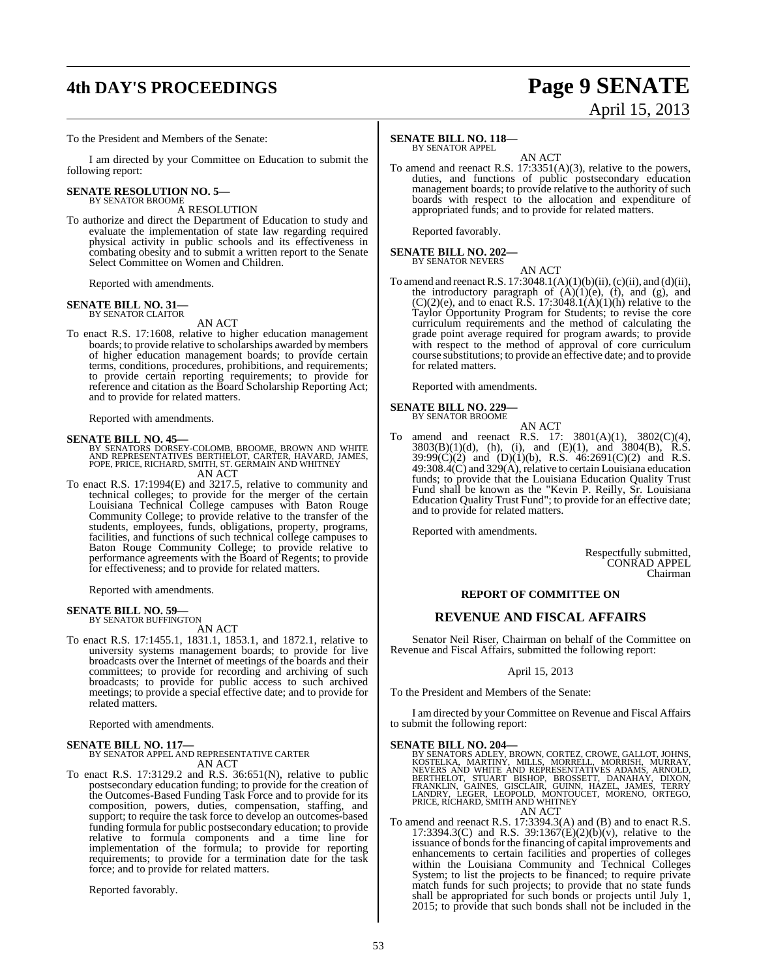# **4th DAY'S PROCEEDINGS Page 9 SENATE**

#### To the President and Members of the Senate:

I am directed by your Committee on Education to submit the following report:

#### **SENATE RESOLUTION NO. 5—** BY SENATOR BROOME

A RESOLUTION

To authorize and direct the Department of Education to study and evaluate the implementation of state law regarding required physical activity in public schools and its effectiveness in combating obesity and to submit a written report to the Senate Select Committee on Women and Children.

Reported with amendments.

## **SENATE BILL NO. 31—** BY SENATOR CLAITOR

#### AN ACT

To enact R.S. 17:1608, relative to higher education management boards; to provide relative to scholarships awarded by members of higher education management boards; to provide certain terms, conditions, procedures, prohibitions, and requirements; to provide certain reporting requirements; to provide for reference and citation as the Board Scholarship Reporting Act; and to provide for related matters.

Reported with amendments.

#### **SENATE BILL NO. 45—**

BY SENATORS DORSEY-COLOMB, BROOME, BROWN AND WHITE<br>AND REPRESENTATIVES BERTHELOT, CARTER, HAVARD, JAMES,<br>POPE, PRICE, RICHARD, SMITH, ST. GERMAIN AND WHITNEY AN ACT

To enact R.S. 17:1994(E) and 3217.5, relative to community and technical colleges; to provide for the merger of the certain Louisiana Technical College campuses with Baton Rouge Community College; to provide relative to the transfer of the students, employees, funds, obligations, property, programs, facilities, and functions of such technical college campuses to Baton Rouge Community College; to provide relative to performance agreements with the Board of Regents; to provide for effectiveness; and to provide for related matters.

Reported with amendments.

# **SENATE BILL NO. 59—** BY SENATOR BUFFINGTON

AN ACT

To enact R.S. 17:1455.1, 1831.1, 1853.1, and 1872.1, relative to university systems management boards; to provide for live broadcasts over the Internet of meetings of the boards and their committees; to provide for recording and archiving of such broadcasts; to provide for public access to such archived meetings; to provide a special effective date; and to provide for related matters.

Reported with amendments.

## **SENATE BILL NO. 117—** BY SENATOR APPEL AND REPRESENTATIVE CARTER AN ACT

To enact R.S.  $17:3129.2$  and R.S.  $36:651(N)$ , relative to public postsecondary education funding; to provide for the creation of the Outcomes-Based Funding Task Force and to provide for its composition, powers, duties, compensation, staffing, and support; to require the task force to develop an outcomes-based funding formula for public postsecondary education; to provide relative to formula components and a time line for implementation of the formula; to provide for reporting requirements; to provide for a termination date for the task force; and to provide for related matters.

Reported favorably.

#### **SENATE BILL NO. 118—**

BY SENATOR APPEL

AN ACT To amend and reenact R.S. 17:3351(A)(3), relative to the powers, duties, and functions of public postsecondary education management boards; to provide relative to the authority of such boards with respect to the allocation and expenditure of appropriated funds; and to provide for related matters.

Reported favorably.

## **SENATE BILL NO. 202—** BY SENATOR NEVERS

AN ACT

To amend and reenact R.S. 17:3048.1(A)(1)(b)(ii),(c)(ii), and (d)(ii), the introductory paragraph of  $(A)(1)(e)$ ,  $(f)$ , and  $(g)$ , and  $(C)(2)(e)$ , and to enact R.S. 17:3048.1(A)(1)(h) relative to the Taylor Opportunity Program for Students; to revise the core curriculum requirements and the method of calculating the grade point average required for program awards; to provide with respect to the method of approval of core curriculum course substitutions; to provide an effective date; and to provide for related matters.

Reported with amendments.

#### **SENATE BILL NO. 229—** BY SENATOR BROOME

- AN ACT
- To amend and reenact R.S. 17: 3801(A)(1), 3802(C)(4), 3803(B)(1)(d), (h), (i), and (E)(1), and 3804(B), R.S.  $39:99(C)(2)$  and  $(D)(1)(b)$ , R.S.  $46:2691(C)(2)$  and R.S. 49:308.4(C) and 329(A), relative to certain Louisiana education funds; to provide that the Louisiana Education Quality Trust Fund shall be known as the "Kevin P. Reilly, Sr. Louisiana Education Quality Trust Fund"; to provide for an effective date; and to provide for related matters.

Reported with amendments.

Respectfully submitted, CONRAD APPEL Chairman

#### **REPORT OF COMMITTEE ON**

#### **REVENUE AND FISCAL AFFAIRS**

Senator Neil Riser, Chairman on behalf of the Committee on Revenue and Fiscal Affairs, submitted the following report:

April 15, 2013

To the President and Members of the Senate:

I am directed by your Committee on Revenue and Fiscal Affairs to submit the following report:

SENATE BILL NO. 204—<br>
BY SENATORS ADLEY, BROWN, CORTEZ, CROWE, GALLOT, JOHNS, KOSTELKA, MARTINY, MILLS, MORRELL. MORRISH, MURRAY,<br>
NEVERS AND WHITE AND REPRESENTATIVES ADAMS, ARNOLD,<br>
BERTHELOT, STUART BISHOP, BROSSETT, DA

To amend and reenact R.S. 17:3394.3(A) and (B) and to enact R.S. To amend and reenact R.S. 17:3394.3(A) and (B) and to enact R.S. 17:3394.3(C) and R.S. 39:1367(E)(2)(b)(v), relative to the issuance of bonds for the financing of capital improvements and enhancements to certain facilities and properties of colleges within the Louisiana Community and Technical Colleges System; to list the projects to be financed; to require private match funds for such projects; to provide that no state funds shall be appropriated for such bonds or projects until July 1, 2015; to provide that such bonds shall not be included in the

# April 15, 2013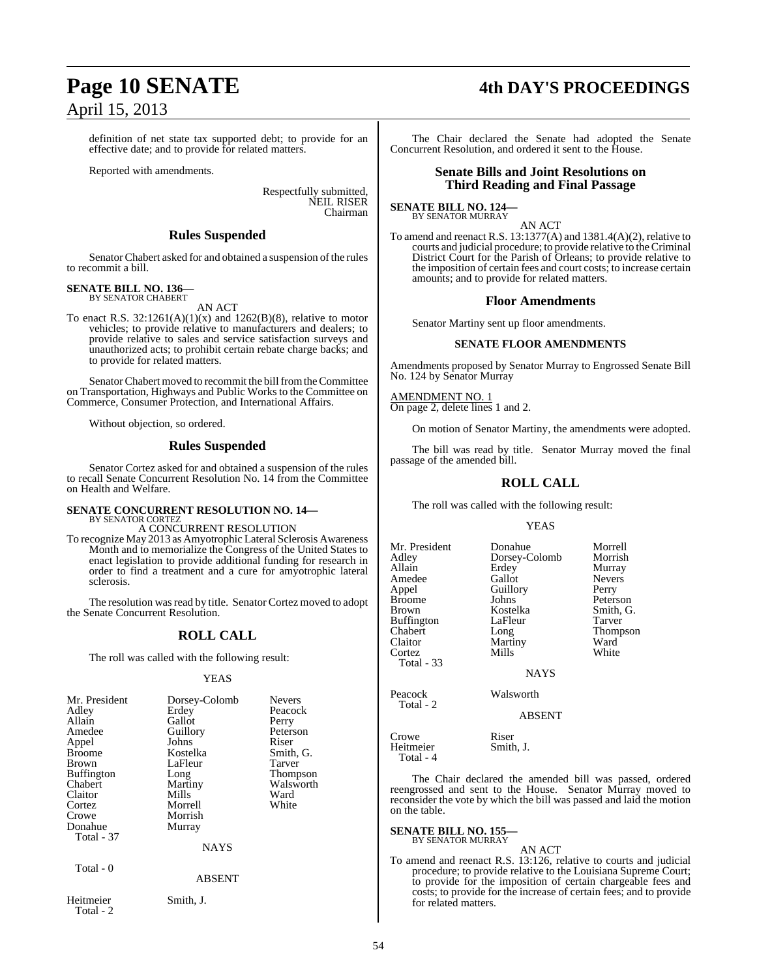# April 15, 2013

definition of net state tax supported debt; to provide for an effective date; and to provide for related matters.

Reported with amendments.

Respectfully submitted, NEIL RISER Chairman

#### **Rules Suspended**

Senator Chabert asked for and obtained a suspension of the rules to recommit a bill.

#### **SENATE BILL NO. 136—** BY SENATOR CHABERT

AN ACT

To enact R.S.  $32:1261(A)(1)(x)$  and  $1262(B)(8)$ , relative to motor vehicles; to provide relative to manufacturers and dealers; to provide relative to sales and service satisfaction surveys and unauthorized acts; to prohibit certain rebate charge backs; and to provide for related matters.

Senator Chabert moved to recommit the bill from the Committee on Transportation, Highways and Public Works to the Committee on Commerce, Consumer Protection, and International Affairs.

Without objection, so ordered.

#### **Rules Suspended**

Senator Cortez asked for and obtained a suspension of the rules to recall Senate Concurrent Resolution No. 14 from the Committee on Health and Welfare.

## **SENATE CONCURRENT RESOLUTION NO. 14—** BY SENATOR CORTEZ

A CONCURRENT RESOLUTION

To recognize May 2013 as Amyotrophic Lateral Sclerosis Awareness Month and to memorialize the Congress of the United States to enact legislation to provide additional funding for research in order to find a treatment and a cure for amyotrophic lateral sclerosis.

The resolution was read by title. Senator Cortez moved to adopt the Senate Concurrent Resolution.

#### **ROLL CALL**

The roll was called with the following result:

#### YEAS

| Mr. President<br>Adley<br>Allain<br>Amedee<br>Appel<br>Broome<br>Brown<br><b>Buffington</b><br>Chabert<br>Claitor<br>Cortez<br>Crowe<br>Donahue<br><b>Total - 37</b><br>Total - 0 | Dorsey-Colomb<br>Erdey<br>Gallot<br>Guillory<br>Johns<br>Kostelka<br>LaFleur<br>Long<br>Martiny<br>Mills<br>Morrell<br>Morrish<br>Murray<br><b>NAYS</b><br><b>ABSENT</b> | <b>Nevers</b><br>Peacock<br>Perry<br>Peterson<br>Riser<br>Smith, G.<br>Tarver<br>Thompson<br>Walsworth<br>Ward<br>White |
|-----------------------------------------------------------------------------------------------------------------------------------------------------------------------------------|--------------------------------------------------------------------------------------------------------------------------------------------------------------------------|-------------------------------------------------------------------------------------------------------------------------|
| Heitmeier<br>Total - $2$                                                                                                                                                          | Smith, J.                                                                                                                                                                |                                                                                                                         |

## **Page 10 SENATE 4th DAY'S PROCEEDINGS**

The Chair declared the Senate had adopted the Senate Concurrent Resolution, and ordered it sent to the House.

#### **Senate Bills and Joint Resolutions on Third Reading and Final Passage**

#### **SENATE BILL NO. 124—** BY SENATOR MURRAY

AN ACT

To amend and reenact R.S. 13:1377(A) and 1381.4(A)(2), relative to courts and judicial procedure; to provide relative to theCriminal District Court for the Parish of Orleans; to provide relative to the imposition of certain fees and court costs; to increase certain amounts; and to provide for related matters.

#### **Floor Amendments**

Senator Martiny sent up floor amendments.

#### **SENATE FLOOR AMENDMENTS**

Amendments proposed by Senator Murray to Engrossed Senate Bill No. 124 by Senator Murray

#### AMENDMENT NO. 1

On page 2, delete lines 1 and 2.

On motion of Senator Martiny, the amendments were adopted.

The bill was read by title. Senator Murray moved the final passage of the amended bill.

#### **ROLL CALL**

The roll was called with the following result:

#### YEAS

Mr. President Donahue Morrell<br>Adley Dorsey-Colomb Morrish Adley Dorsey-Colomb<br>Allain Erdev Erdey Murray<br>
Gallot Nevers Amedee Gallot Never<br>
Appel Guillory Perry Appel Guillory<br>Broome Johns Broome Johns Peterson<br>Brown Kostelka Smith, G Kostelka Smith, G.<br>LaFleur Tarver Buffington LaFleur Tarver<br>
Chabert Long Thomp Chabert Long Thompson Martiny Ward<br>
Mills White Cortez Total - 33 **NAVS** Peacock Walsworth Total - 2

ABSENT

Crowe Riser<br>
Heitmeier Smith, J.

The Chair declared the amended bill was passed, ordered reengrossed and sent to the House. Senator Murray moved to reconsider the vote by which the bill was passed and laid the motion on the table.

#### **SENATE BILL NO. 155—** BY SENATOR MURRAY

Heitmeier Total - 4

AN ACT To amend and reenact R.S. 13:126, relative to courts and judicial procedure; to provide relative to the Louisiana Supreme Court; to provide for the imposition of certain chargeable fees and costs; to provide for the increase of certain fees; and to provide for related matters.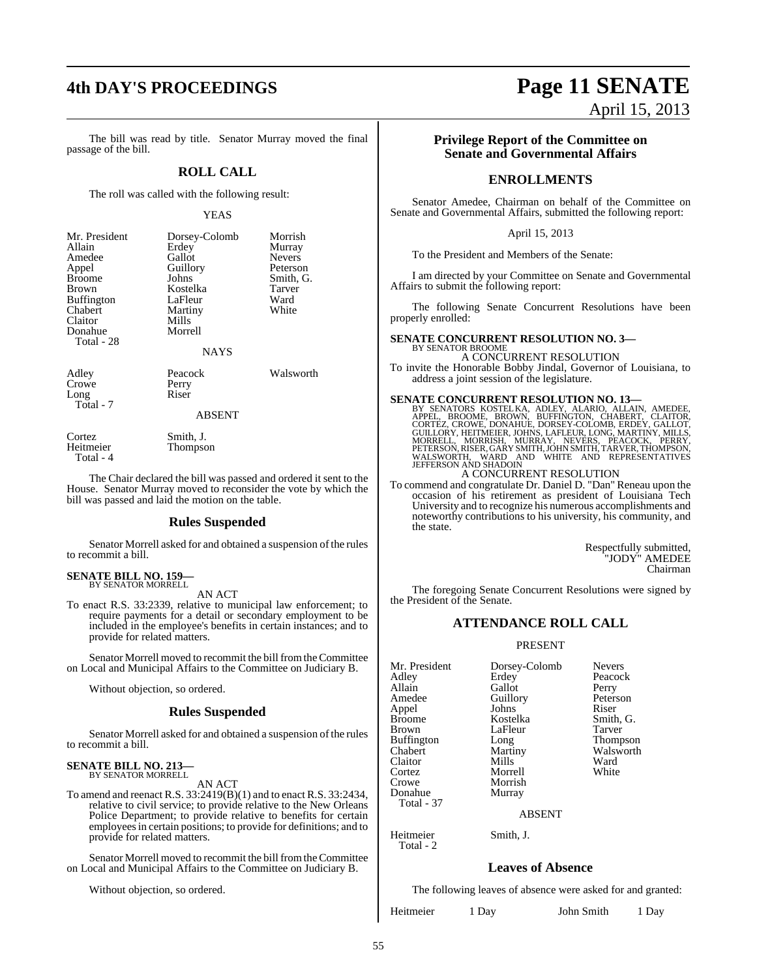The bill was read by title. Senator Murray moved the final passage of the bill.

#### **ROLL CALL**

The roll was called with the following result:

#### YEAS

| Mr. President<br>Allain<br>Amedee<br>Appel<br><b>Broome</b><br><b>Brown</b><br><b>Buffington</b><br>Chabert<br>Claitor<br>Donahue | Dorsey-Colomb<br>Erdey<br>Gallot<br>Guillory<br>Johns<br>Kostelka<br>LaFleur<br>Martiny<br>Mills<br>Morrell | Morrish<br>Murray<br><b>Nevers</b><br>Peterson<br>Smith, G.<br>Tarver<br>Ward<br>White |
|-----------------------------------------------------------------------------------------------------------------------------------|-------------------------------------------------------------------------------------------------------------|----------------------------------------------------------------------------------------|
| Total - 28                                                                                                                        | <b>NAYS</b>                                                                                                 |                                                                                        |

Crowe Perry<br>Long Riser  $L$ ong Total - 7

Adley Peacock Walsworth<br>Crowe Perry

#### ABSENT

Thompson

Cortez Smith, J.<br>Heitmeier Thompson

Total - 4

The Chair declared the bill was passed and ordered it sent to the House. Senator Murray moved to reconsider the vote by which the bill was passed and laid the motion on the table.

#### **Rules Suspended**

Senator Morrell asked for and obtained a suspension of the rules to recommit a bill.

#### **SENATE BILL NO. 159—** BY SENATOR MORRELL

AN ACT

To enact R.S. 33:2339, relative to municipal law enforcement; to require payments for a detail or secondary employment to be included in the employee's benefits in certain instances; and to provide for related matters.

Senator Morrell moved to recommit the bill from the Committee on Local and Municipal Affairs to the Committee on Judiciary B.

Without objection, so ordered.

#### **Rules Suspended**

Senator Morrell asked for and obtained a suspension of the rules to recommit a bill.

#### **SENATE BILL NO. 213—** BY SENATOR MORRELL

AN ACT

To amend and reenact R.S. 33:2419(B)(1) and to enact R.S. 33:2434, relative to civil service; to provide relative to the New Orleans Police Department; to provide relative to benefits for certain employeesin certain positions; to provide for definitions; and to provide for related matters.

Senator Morrell moved to recommit the bill from the Committee on Local and Municipal Affairs to the Committee on Judiciary B.

Without objection, so ordered.

# **4th DAY'S PROCEEDINGS Page 11 SENATE**

April 15, 2013

#### **Privilege Report of the Committee on Senate and Governmental Affairs**

#### **ENROLLMENTS**

Senator Amedee, Chairman on behalf of the Committee on Senate and Governmental Affairs, submitted the following report:

#### April 15, 2013

To the President and Members of the Senate:

I am directed by your Committee on Senate and Governmental Affairs to submit the following report:

The following Senate Concurrent Resolutions have been properly enrolled:

#### **SENATE CONCURRENT RESOLUTION NO. 3—**

BY SENATOR BROOME A CONCURRENT RESOLUTION

To invite the Honorable Bobby Jindal, Governor of Louisiana, to address a joint session of the legislature.

 $\begin{tabular}{l|c|c|c} \textbf{SENATE CONCURRENT RESOLUTION NO. 13}\! \textbf{B} & \textbf{B} & \textbf{S} & \textbf{S} & \textbf{S} & \textbf{S} & \textbf{S} & \textbf{S} & \textbf{S} & \textbf{S} & \textbf{S} & \textbf{S} & \textbf{S} & \textbf{S} & \textbf{S} & \textbf{S} & \textbf{S} & \textbf{S} & \textbf{S} & \textbf{S} & \textbf{S} & \textbf{S} & \textbf{S} & \textbf{S} & \textbf{S} & \textbf{S} & \textbf{$ 

To commend and congratulate Dr. Daniel D. "Dan" Reneau upon the occasion of his retirement as president of Louisiana Tech University and to recognize his numerous accomplishments and noteworthy contributions to his university, his community, and the state.

> Respectfully submitted, "JODY" AMEDEE Chairman

The foregoing Senate Concurrent Resolutions were signed by the President of the Senate.

#### **ATTENDANCE ROLL CALL**

#### PRESENT

| Mr. President     | Dorsey-Colomb | <b>Nevers</b> |
|-------------------|---------------|---------------|
| Adley             | Erdey         | Peacock       |
| Allain            | Gallot        | Perry         |
| Amedee            | Guillory      | Peterson      |
| Appel             | Johns         | Riser         |
| <b>Broome</b>     | Kostelka      | Smith, G.     |
| <b>Brown</b>      | LaFleur       | Tarver        |
| <b>Buffington</b> | Long          | Thompson      |
| Chabert           | Martiny       | Walsworth     |
| Claitor           | Mills         | Ward          |
| Cortez            | Morrell       | White         |
| Crowe             | Morrish       |               |
| Donahue           | Murray        |               |
| Total - 37        |               |               |
|                   |               |               |

ABSENT

Heitmeier Smith, J.

#### **Leaves of Absence**

The following leaves of absence were asked for and granted:

Heitmeier 1 Day John Smith 1 Day

Total - 2